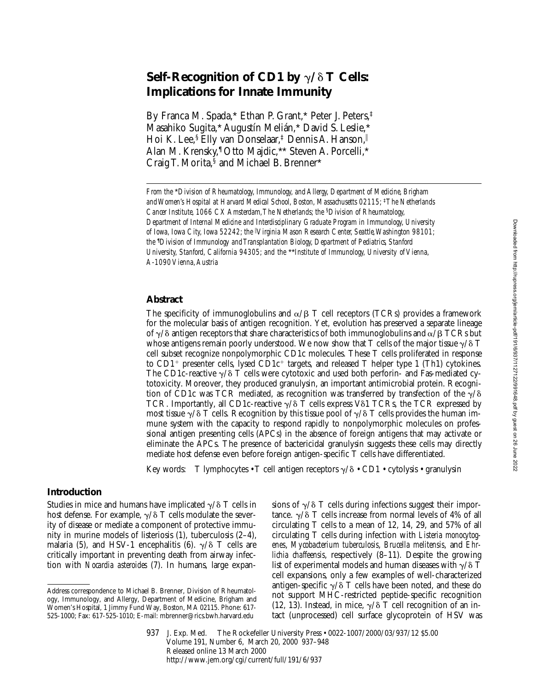# **Self-Recognition of CD1 by**  $\gamma/\delta$  **T Cells: Implications for Innate Immunity**

By Franca M. Spada,\* Ethan P. Grant,\* Peter J. Peters,‡ Masahiko Sugita,\* Augustín Melián,\* David S. Leslie,\* Hoi K. Lee,<sup>§</sup> Elly van Donselaar,<sup>‡</sup> Dennis A. Hanson,<sup>||</sup> Alan M. Krensky,¶ Otto Majdic,\*\* Steven A. Porcelli,\* Craig T. Morita,§ and Michael B. Brenner\*

*From the* \**Division of Rheumatology, Immunology, and Allergy, Department of Medicine, Brigham and Women's Hospital at Harvard Medical School, Boston, Massachusetts 02115;* ‡*The Netherlands Cancer Institute, 1066 CX Amsterdam, The Netherlands; the* §*Division of Rheumatology, Department of Internal Medicine and Interdisciplinary Graduate Program in Immunology, University of Iowa, Iowa City, Iowa 52242; the* <sup>i</sup> *Virginia Mason Research Center, Seattle, Washington 98101; the* ¶ *Division of Immunology and Transplantation Biology, Department of Pediatrics, Stanford University, Stanford, California 94305; and the* \*\**Institute of Immunology, University of Vienna, A-1090 Vienna, Austria*

### **Abstract**

The specificity of immunoglobulins and  $\alpha/\beta$  T cell receptors (TCRs) provides a framework for the molecular basis of antigen recognition. Yet, evolution has preserved a separate lineage of  $\gamma/\delta$  antigen receptors that share characteristics of both immunoglobulins and  $\alpha/\beta$  TCRs but whose antigens remain poorly understood. We now show that T cells of the major tissue  $\gamma/\delta$  T cell subset recognize nonpolymorphic CD1c molecules. These T cells proliferated in response to CD1<sup>+</sup> presenter cells, lysed CD1c<sup>+</sup> targets, and released T helper type 1 (Th1) cytokines. The CD1c-reactive  $\gamma/\delta$  T cells were cytotoxic and used both perforin- and Fas-mediated cytotoxicity. Moreover, they produced granulysin, an important antimicrobial protein. Recognition of CD1c was TCR mediated, as recognition was transferred by transfection of the  $\gamma/\delta$ TCR. Importantly, all CD1c-reactive  $\gamma/\delta$  T cells express V $\delta$ 1 TCRs, the TCR expressed by most tissue  $\gamma/\delta$  T cells. Recognition by this tissue pool of  $\gamma/\delta$  T cells provides the human immune system with the capacity to respond rapidly to nonpolymorphic molecules on professional antigen presenting cells (APCs) in the absence of foreign antigens that may activate or eliminate the APCs. The presence of bactericidal granulysin suggests these cells may directly mediate host defense even before foreign antigen-specific T cells have differentiated.

Key words: T lymphocytes • T cell antigen receptors  $\gamma/\delta$  • CD1 • cytolysis • granulysin

## **Introduction**

Studies in mice and humans have implicated  $\gamma/\delta$  T cells in host defense. For example,  $\gamma/\delta$  T cells modulate the severity of disease or mediate a component of protective immunity in murine models of listeriosis (1), tuberculosis (2–4), malaria (5), and HSV-1 encephalitis (6).  $\gamma/\delta$  T cells are critically important in preventing death from airway infection with *Nocardia asteroides* (7). In humans, large expansions of  $\gamma/\delta$  T cells during infections suggest their importance.  $\gamma/\delta$  T cells increase from normal levels of 4% of all circulating T cells to a mean of 12, 14, 29, and 57% of all circulating T cells during infection with *Listeria monocytogenes*, *Mycobacterium tuberculosis*, *Brucella melitensis*, and *Ehrlichia chaffeensis*, respectively (8–11). Despite the growing list of experimental models and human diseases with  $\gamma/\delta$  T cell expansions, only a few examples of well-characterized antigen-specific  $\gamma/\delta$  T cells have been noted, and these do not support MHC-restricted peptide-specific recognition (12, 13). Instead, in mice,  $\gamma/\delta$  T cell recognition of an intact (unprocessed) cell surface glycoprotein of HSV was

937 J. Exp. Med. © The Rockefeller University Press • 0022-1007/2000/03/937/12 \$5.00 Volume 191, Number 6, March 20, 2000 937–948 Released online 13 March 2000 http://www.jem.org/cgi/current/full/191/6/937

Address correspondence to Michael B. Brenner, Division of Rheumatology, Immunology, and Allergy, Department of Medicine, Brigham and Women's Hospital, 1 Jimmy Fund Way, Boston, MA 02115. Phone: 617- 525-1000; Fax: 617-525-1010; E-mail: mbrenner@rics.bwh.harvard.edu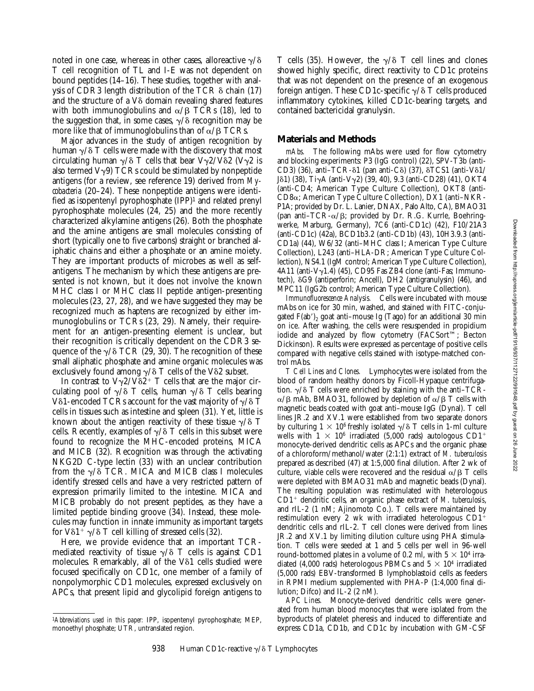noted in one case, whereas in other cases, alloreactive  $\gamma/\delta$ T cell recognition of TL and I-E was not dependent on bound peptides (14–16). These studies, together with analysis of  $\overline{CDR3}$  length distribution of the TCR  $\delta$  chain (17) and the structure of a  $V\delta$  domain revealing shared features with both immunoglobulins and  $\alpha/\beta$  TCRs (18), led to the suggestion that, in some cases,  $\gamma/\delta$  recognition may be more like that of immunoglobulins than of  $\alpha$ / $\beta$  TCRs.

Major advances in the study of antigen recognition by human  $\gamma/\delta$  T cells were made with the discovery that most circulating human  $\gamma/\delta$  T cells that bear  $V\gamma/2/\delta$ 2 (V $\gamma$ 2 is also termed  $V\gamma$ 9) TCRs could be stimulated by nonpeptide antigens (for a review, see reference 19) derived from *Mycobacteria* (20–24). These nonpeptide antigens were identified as isopentenyl pyrophosphate  $(IPP)^1$  and related prenyl pyrophosphate molecules (24, 25) and the more recently characterized alkylamine antigens (26). Both the phosphate and the amine antigens are small molecules consisting of short (typically one to five carbons) straight or branched aliphatic chains and either a phosphate or an amine moiety. They are important products of microbes as well as selfantigens. The mechanism by which these antigens are presented is not known, but it does not involve the known MHC class I or MHC class II peptide antigen-presenting molecules (23, 27, 28), and we have suggested they may be recognized much as haptens are recognized by either immunoglobulins or TCRs (23, 29). Namely, their requirement for an antigen-presenting element is unclear, but their recognition is critically dependent on the CDR3 sequence of the  $\gamma/\delta$  TCR (29, 30). The recognition of these small aliphatic phosphate and amine organic molecules was exclusively found among  $\gamma/\delta$  T cells of the V $\delta$ 2 subset.

In contrast to  $V\gamma2/V\delta2^+$  T cells that are the major circulating pool of  $\gamma/\delta$  T cells, human  $\gamma/\delta$  T cells bearing V $\delta$ 1-encoded TCRs account for the vast majority of  $\gamma/\delta$  T cells in tissues such as intestine and spleen (31). Yet, little is known about the antigen reactivity of these tissue  $\gamma/\delta$  T cells. Recently, examples of  $\gamma/\delta$  T cells in this subset were found to recognize the MHC-encoded proteins, MICA and MICB (32). Recognition was through the activating NKG2D C-type lectin (33) with an unclear contribution from the  $\gamma/\delta$  TCR. MICA and MICB class I molecules identify stressed cells and have a very restricted pattern of expression primarily limited to the intestine. MICA and MICB probably do not present peptides, as they have a limited peptide binding groove (34). Instead, these molecules may function in innate immunity as important targets for  $V\delta1^+ \gamma/\delta$  T cell killing of stressed cells (32).

Here, we provide evidence that an important TCRmediated reactivity of tissue  $\gamma/\delta$  T cells is against CD1 molecules. Remarkably, all of the Vo1 cells studied were focused specifically on CD1c, one member of a family of nonpolymorphic CD1 molecules, expressed exclusively on APCs, that present lipid and glycolipid foreign antigens to

T cells (35). However, the  $\gamma/\delta$  T cell lines and clones showed highly specific, direct reactivity to CD1c proteins that was not dependent on the presence of an exogenous foreign antigen. These CD1c-specific  $\gamma/\delta$  T cells produced inflammatory cytokines, killed CD1c-bearing targets, and contained bactericidal granulysin.

#### **Materials and Methods**

*mAbs.* The following mAbs were used for flow cytometry and blocking experiments: P3 (IgG control) (22), SPV-T3b (anti-CD3) (36), anti-TCR- $\delta$ 1 (pan anti-C $\delta$ ) (37),  $\delta$ TCS1 (anti-V $\delta$ 1/ J $\delta$ 1) (38), TiyA (anti-Vy2) (39, 40), 9.3 (anti-CD28) (41), OKT4 (anti-CD4; American Type Culture Collection), OKT8 (anti-CD8a; American Type Culture Collection), DX1 (anti–NKR-P1A; provided by Dr. L. Lanier, DNAX, Palo Alto, CA), BMAO31 (pan anti–TCR- $\alpha/\beta$ ; provided by Dr. R.G. Kurrle, Boehringwerke, Marburg, Germany), 7C6 (anti-CD1c) (42), F10/21A3 (anti-CD1c) (42a), BCD1b3.2 (anti-CD1b) (43), 10H3.9.3 (anti-CD1a) (44), W6/32 (anti–MHC class I; American Type Culture Collection), L243 (anti–HLA-DR; American Type Culture Collection), NS4.1 (IgM control; American Type Culture Collection), 4A11 (anti-V $\gamma$ 1.4) (45), CD95 Fas ZB4 clone (anti-Fas; Immunotech),  $\delta G9$  (antiperforin; Ancell), DH2 (antigranulysin) (46), and MPC11 (IgG2b control; American Type Culture Collection).

*Immunofluorescence Analysis.* Cells were incubated with mouse mAbs on ice for 30 min, washed, and stained with FITC-conjugated  $F(ab')_2$  goat anti–mouse Ig (Tago) for an additional 30 min on ice. After washing, the cells were resuspended in propidium iodide and analyzed by flow cytometry (FACSort™; Becton Dickinson). Results were expressed as percentage of positive cells compared with negative cells stained with isotype-matched control mAbs.

*T Cell Lines and Clones.* Lymphocytes were isolated from the blood of random healthy donors by Ficoll-Hypaque centrifugation.  $\gamma/\delta$  T cells were enriched by staining with the anti–TCR- $\alpha/\beta$  mAb, BMAO31, followed by depletion of  $\alpha/\beta$  T cells with magnetic beads coated with goat anti–mouse IgG (Dynal). T cell lines JR.2 and XV.1 were established from two separate donors by culturing  $1 \times 10^6$  freshly isolated  $\gamma/\delta$  T cells in 1-ml culture wells with  $1 \times 10^6$  irradiated (5,000 rads) autologous CD1<sup>+</sup> monocyte-derived dendritic cells as APCs and the organic phase of a chloroform/methanol/water (2:1:1) extract of *M. tuberculosis* prepared as described (47) at 1:5,000 final dilution. After 2 wk of culture, viable cells were recovered and the residual  $\alpha/\beta$  T cells were depleted with BMAO31 mAb and magnetic beads (Dynal). The resulting population was restimulated with heterologous  $CD1<sup>+</sup>$  dendritic cells, an organic phase extract of  $M$ . tuberculosis, and rIL-2 (1 nM; Ajinomoto Co.). T cells were maintained by restimulation every 2 wk with irradiated heterologous  $CD1^+$ dendritic cells and rIL-2. T cell clones were derived from lines JR.2 and XV.1 by limiting dilution culture using PHA stimulation. T cells were seeded at 1 and 5 cells per well in 96-well round-bottomed plates in a volume of 0.2 ml, with  $5 \times 10^4$  irradiated (4,000 rads) heterologous PBMCs and  $5 \times 10^4$  irradiated (5,000 rads) EBV-transformed B lymphoblastoid cells as feeders in RPMI medium supplemented with PHA-P (1:4,000 final dilution; Difco) and IL-2 (2 nM).

*APC Lines.* Monocyte-derived dendritic cells were generated from human blood monocytes that were isolated from the byproducts of platelet pheresis and induced to differentiate and express CD1a, CD1b, and CD1c by incubation with GM-CSF

<sup>1</sup>*Abbreviations used in this paper:* IPP, isopentenyl pyrophosphate; MEP, monoethyl phosphate; UTR, untranslated region.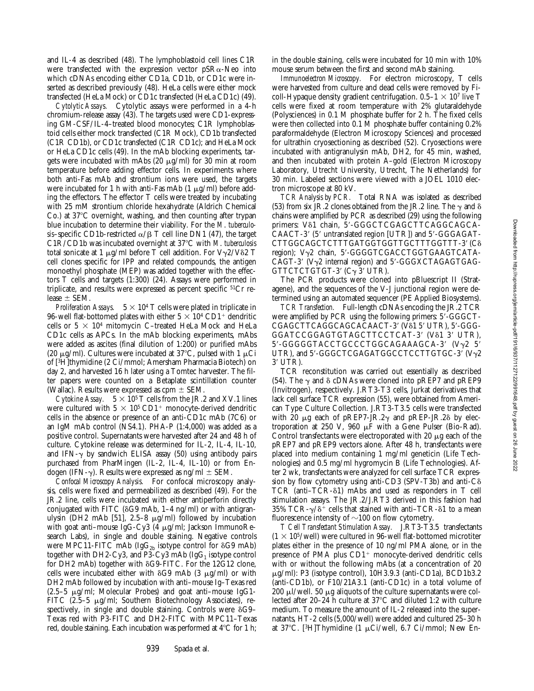and IL-4 as described (48). The lymphoblastoid cell lines C1R were transfected with the expression vector  $pSR\alpha$ -Neo into which cDNAs encoding either CD1a, CD1b, or CD1c were inserted as described previously (48). HeLa cells were either mock transfected (HeLa Mock) or CD1c transfected (HeLa CD1c) (49).

*Cytolytic Assays.* Cytolytic assays were performed in a 4-h chromium-release assay (43). The targets used were CD1-expressing GM-CSF/IL-4–treated blood monocytes; C1R lymphoblastoid cells either mock transfected (C1R Mock), CD1b transfected (C1R CD1b), or CD1c transfected (C1R CD1c); and HeLa Mock or HeLa CD1c cells (49). In the mAb blocking experiments, targets were incubated with mAbs  $(20 \mu g/ml)$  for 30 min at room temperature before adding effector cells. In experiments where both anti-Fas mAb and strontium ions were used, the targets were incubated for 1 h with anti-Fas mAb  $(1 \mu g/ml)$  before adding the effectors. The effector T cells were treated by incubating with 25 mM strontium chloride hexahydrate (Aldrich Chemical Co.) at  $37^{\circ}$ C overnight, washing, and then counting after trypan blue incubation to determine their viability. For the *M*. *tuberculosis*–specific CD1b-restricted  $\alpha$ / $\beta$  T cell line DN1 (47), the target C1R/CD1b was incubated overnight at 37°C with *M. tuberculosis* total sonicate at 1  $\mu$ g/ml before T cell addition. For V $\gamma$ 2/V $\delta$ 2 T cell clones specific for IPP and related compounds, the antigen monoethyl phosphate (MEP) was added together with the effectors T cells and targets (1:300) (24). Assays were performed in triplicate, and results were expressed as percent specific 51Cr release  $\pm$  SEM.

*Proliferation Assays.*  $5 \times 10^4$  T cells were plated in triplicate in 96-well flat-bottomed plates with either  $5 \times 10^4$  CD1<sup>+</sup> dendritic cells or  $5 \times 10^4$  mitomycin C-treated HeLa Mock and HeLa CD1c cells as APCs. In the mAb blocking experiments, mAbs were added as ascites (final dilution of 1:200) or purified mAbs (20  $\mu$ g/ml). Cultures were incubated at 37°C, pulsed with 1  $\mu$ Ci of [3H]thymidine (2 Ci/mmol; Amersham Pharmacia Biotech) on day 2, and harvested 16 h later using a Tomtec harvester. The filter papers were counted on a Betaplate scintillation counter (Wallac). Results were expressed as  $cpm \pm SEM$ .

*Cytokine Assay.*  $5 \times 10^5$  T cells from the JR.2 and XV.1 lines were cultured with  $5 \times 10^5$  CD1<sup>+</sup> monocyte-derived dendritic cells in the absence or presence of an anti-CD1c mAb (7C6) or an IgM mAb control (NS4.1). PHA-P (1:4,000) was added as a positive control. Supernatants were harvested after 24 and 48 h of culture. Cytokine release was determined for IL-2, IL-4, IL-10, and IFN- $\gamma$  by sandwich ELISA assay (50) using antibody pairs purchased from PharMingen (IL-2, IL-4, IL-10) or from Endogen (IFN- $\gamma$ ). Results were expressed as ng/ml  $\pm$  SEM.

*Confocal Microscopy Analysis.* For confocal microscopy analysis, cells were fixed and permeabilized as described (49). For the JR.2 line, cells were incubated with either antiperforin directly conjugated with FITC ( $\delta G9$  mAb, 1–4 ng/ml) or with antigranulysin (DH2 mAb [51], 2.5–8  $\mu$ g/ml) followed by incubation with goat anti-mouse IgG-Cy3 (4  $\mu$ g/ml; Jackson ImmunoResearch Labs), in single and double staining. Negative controls were MPC11-FITC mAb (Ig $G_{2b}$  isotype control for  $\delta G9$  mAb) together with DH2-Cy3, and P3-Cy3 mAb (Ig $G_1$  isotype control for DH2 mAb) together with  $\delta G9$ -FITC. For the 12G12 clone, cells were incubated either with  $\delta G9$  mAb (3  $\mu$ g/ml) or with DH2 mAb followed by incubation with anti–mouse Ig–Texas red  $(2.5-5 \mu g/ml$ ; Molecular Probes) and goat anti-mouse IgG1-FITC (2.5–5 µg/ml; Southern Biotechnology Associates), respectively, in single and double staining. Controls were  $\delta G9-$ Texas red with P3-FITC and DH2-FITC with MPC11–Texas red, double staining. Each incubation was performed at  $4^{\circ}C$  for 1 h;

939 Spada et al.

in the double staining, cells were incubated for 10 min with 10% mouse serum between the first and second mAb staining.

*Immunoelectron Microscopy.* For electron microscopy, T cells were harvested from culture and dead cells were removed by Ficoll-Hypaque density gradient centrifugation.  $0.5-1 \times 10^7$  live T cells were fixed at room temperature with 2% glutaraldehyde (Polysciences) in 0.1 M phosphate buffer for 2 h. The fixed cells were then collected into 0.1 M phosphate buffer containing 0.2% paraformaldehyde (Electron Microscopy Sciences) and processed for ultrathin cryosectioning as described (52). Cryosections were incubated with antigranulysin mAb, DH2, for 45 min, washed, and then incubated with protein A–gold (Electron Microscopy Laboratory, Utrecht University, Utrecht, The Netherlands) for 30 min. Labeled sections were viewed with a JOEL 1010 electron microscope at 80 kV.

*TCR Analysis by PCR.* Total RNA was isolated as described (53) from six JR.2 clones obtained from the JR.2 line. The  $\gamma$  and  $\delta$ chains were amplified by PCR as described (29) using the following primers: V<sub>81</sub> chain, 5'-GGGCTCGAGCTTCAGGCAGCA-CAACT-3' (5' untranslated region [UTR]) and 5'-GGGAGAT-CTTGGCAGCTCTTTGATGGTGGTTGCTTTGGTTT-3' (Co region); Vγ2 chain, 5'-GGGGTCGACCTGGTGAAGTCATA-CAGT-3' ( $V\gamma$ 2 internal region) and 5'-GGGXCTAGAGTGAG-GTTCTCTGTGT-3'  $(C_{\gamma}$  3' UTR).

The PCR products were cloned into pBluescript II (Stratagene), and the sequences of the V-J junctional region were determined using an automated sequencer (PE Applied Biosystems).

*TCR Transfection.* Full-length cDNAs encoding the JR.2 TCR were amplified by PCR using the following primers: 5'-GGGCT-CGAGCTTCAGGCAGCACAACT-3' (V81 5' UTR), 5'-GGG-GGATCCGGAGTGTAGCTTCCTCAT-3' (V81 3' UTR), 5'-GGGGGTACCTGCCCTGGCAGAAAGCA-3' (Vy2 5' UTR), and  $5'$ -GGGCTCGAGATGGCCTCCTTGTGC-3' (V $\gamma$ 2 3' UTR).

TCR reconstitution was carried out essentially as described (54). The  $\gamma$  and  $\delta$  cDNAs were cloned into pREP7 and pREP9 (Invitrogen), respectively. J.RT3-T3 cells, Jurkat derivatives that lack cell surface TCR expression (55), were obtained from American Type Culture Collection. J.RT3-T3.5 cells were transfected with 20  $\mu$ g each of pREP7-JR.2 $\gamma$  and pREP-JR.2 $\delta$  by electroporation at 250 V, 960  $\mu$ F with a Gene Pulser (Bio-Rad). Control transfectants were electroporated with 20  $\mu$ g each of the pREP7 and pREP9 vectors alone. After 48 h, transfectants were placed into medium containing 1 mg/ml geneticin (Life Technologies) and 0.5 mg/ml hygromycin B (Life Technologies). After 2 wk, transfectants were analyzed for cell surface TCR expression by flow cytometry using anti-CD3 (SPV-T3b) and anti- $C\delta$ TCR (anti–TCR-d1) mAbs and used as responders in T cell stimulation assays. The JR.2/J.RT3 derived in this fashion had 35% TCR- $\gamma/\delta^+$  cells that stained with anti–TCR- $\delta$ 1 to a mean fluorescence intensity of  $\sim$ 100 on flow cytometry.

*T Cell Transfectant Stimulation Assay.* J.RT3-T3.5 transfectants  $(1 \times 10^5/\text{well})$  were cultured in 96-well flat-bottomed microtiter plates either in the presence of 10 ng/ml PMA alone, or in the presence of PMA plus  $CD1<sup>+</sup>$  monocyte-derived dendritic cells with or without the following mAbs (at a concentration of 20  $\mu$ g/ml): P3 (isotype control), 10H3.9.3 (anti-CD1a), BCD1b3.2 (anti-CD1b), or F10/21A3.1 (anti-CD1c) in a total volume of 200  $\mu$ l/well. 50  $\mu$ g aliquots of the culture supernatants were collected after 20–24 h culture at  $37^{\circ}$ C and diluted 1:2 with culture medium. To measure the amount of IL-2 released into the supernatants, HT-2 cells (5,000/well) were added and cultured 25–30 h at 37°C. [3H]Thymidine (1  $\mu$ Ci/well, 6.7 Ci/mmol; New En-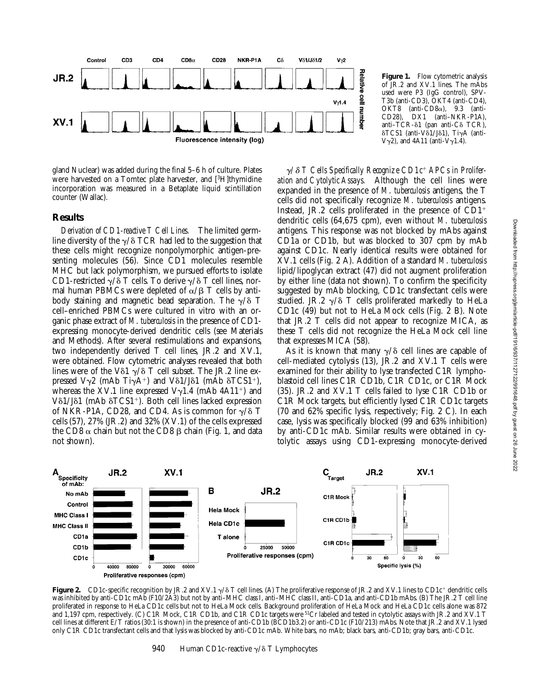

gland Nuclear) was added during the final 5–6 h of culture. Plates were harvested on a Tomtec plate harvester, and [3H]thymidine incorporation was measured in a Betaplate liquid scintillation counter (Wallac).

#### **Results**

*Derivation of CD1-reactive T Cell Lines.* The limited germline diversity of the  $\gamma/\delta$  TCR had led to the suggestion that these cells might recognize nonpolymorphic antigen-presenting molecules (56). Since CD1 molecules resemble MHC but lack polymorphism, we pursued efforts to isolate CD1-restricted  $\gamma/\delta$  T cells. To derive  $\gamma/\delta$  T cell lines, normal human PBMCs were depleted of  $\alpha/\beta$  T cells by antibody staining and magnetic bead separation. The  $\gamma/\delta$  T cell–enriched PBMCs were cultured in vitro with an organic phase extract of *M*. *tuberculosis* in the presence of CD1 expressing monocyte-derived dendritic cells (see Materials and Methods). After several restimulations and expansions, two independently derived T cell lines, JR.2 and XV.1, were obtained. Flow cytometric analyses revealed that both lines were of the V $\delta$ 1  $\gamma$ / $\delta$  T cell subset. The JR.2 line expressed  $V\gamma2$  (mAb Ti $\gamma A^+$ ) and V $\delta1/J\delta1$  (mAb  $\delta$ TCS1<sup>+</sup>), whereas the XV.1 line expressed V $\gamma$ 1.4 (mAb 4A11<sup>+</sup>) and  $V\delta1/J\delta1$  (mAb  $\delta$ TCS1<sup>+</sup>). Both cell lines lacked expression of NKR-P1A, CD28, and CD4. As is common for  $\gamma/\delta$  T cells (57), 27% (JR.2) and 32% (XV.1) of the cells expressed the CD8  $\alpha$  chain but not the CD8  $\beta$  chain (Fig. 1, and data not shown).

Figure 1. Flow cytometric analysis of JR.2 and XV.1 lines. The mAbs used were P3 (IgG control), SPV-T3b (anti-CD3), OKT4 (anti-CD4), OKT8 (anti-CD8 $\alpha$ ), 9.3 (anti-CD28), DX1 (anti–NKR-P1A), anti-TCR-δ1 (pan anti-Cδ TCR),  $\delta$ TCS1 (anti-V $\delta$ 1/J $\delta$ 1), Ti $\gamma$ A (anti- $V\gamma$ 2), and 4A11 (anti- $V\gamma$ 1.4).

 $\gamma$ <sup> $\delta$  *T* Cells Specifically Recognize CD1c<sup>+</sup> APCs in Prolifer-</sup> *ation and Cytolytic Assays.* Although the cell lines were expanded in the presence of *M*. *tuberculosis* antigens, the T cells did not specifically recognize *M*. *tuberculosis* antigens. Instead, JR.2 cells proliferated in the presence of  $CD1$ <sup>+</sup> dendritic cells (64,675 cpm), even without *M*. *tuberculosis* antigens. This response was not blocked by mAbs against CD1a or CD1b, but was blocked to 307 cpm by mAb against CD1c. Nearly identical results were obtained for XV.1 cells (Fig. 2 A). Addition of a standard *M*. *tuberculosis* lipid/lipoglycan extract (47) did not augment proliferation by either line (data not shown). To confirm the specificity suggested by mAb blocking, CD1c transfectant cells were studied. JR.2  $\gamma$ / $\delta$  T cells proliferated markedly to HeLa CD1c (49) but not to HeLa Mock cells (Fig. 2 B). Note that JR.2 T cells did not appear to recognize MICA, as these T cells did not recognize the HeLa Mock cell line that expresses MICA (58).

As it is known that many  $\gamma/\delta$  cell lines are capable of cell-mediated cytolysis (13), JR.2 and XV.1 T cells were examined for their ability to lyse transfected C1R lymphoblastoid cell lines C1R CD1b, C1R CD1c, or C1R Mock (35). JR.2 and XV.1 T cells failed to lyse C1R CD1b or C1R Mock targets, but efficiently lysed C1R CD1c targets (70 and 62% specific lysis, respectively; Fig. 2 C). In each case, lysis was specifically blocked (99 and 63% inhibition) by anti-CD1c mAb. Similar results were obtained in cytolytic assays using CD1-expressing monocyte-derived



**Figure 2.** CD1c-specific recognition by JR.2 and XV.1  $\gamma$ / $\delta$  T cell lines. (A) The proliferative response of JR.2 and XV.1 lines to CD1c<sup>+</sup> dendritic cells was inhibited by anti-CD1c mAb (F10/2A3) but not by anti–MHC class I, anti–MHC class II, anti-CD1a, and anti-CD1b mAbs. (B) The JR.2 T cell line proliferated in response to HeLa CD1c cells but not to HeLa Mock cells. Background proliferation of HeLa Mock and HeLa CD1c cells alone was 872 and 1,197 cpm, respectively. (C) C1R Mock, C1R CD1b, and C1R CD1c targets were 51Cr labeled and tested in cytolytic assays with JR.2 and XV.1 T cell lines at different E/T ratios (30:1 is shown) in the presence of anti-CD1b (BCD1b3.2) or anti-CD1c (F10/213) mAbs. Note that JR.2 and XV.1 lysed only C1R CD1c transfectant cells and that lysis was blocked by anti-CD1c mAb. White bars, no mAb; black bars, anti-CD1b; gray bars, anti-CD1c.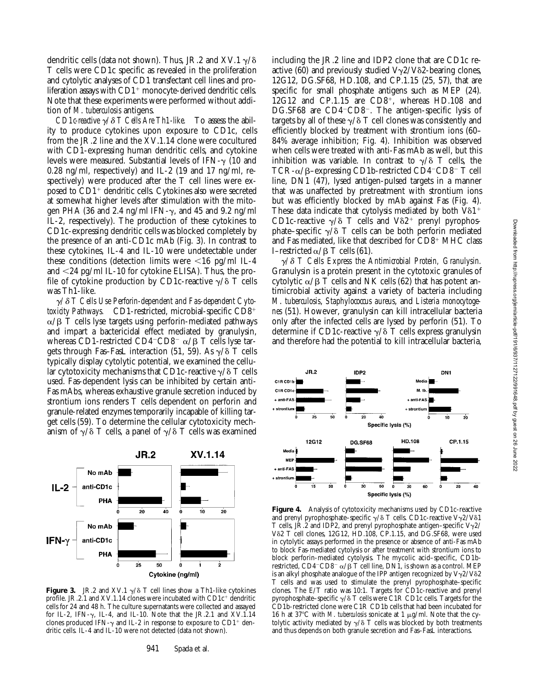dendritic cells (data not shown). Thus, JR.2 and XV.1  $\gamma$ / $\delta$ T cells were CD1c specific as revealed in the proliferation and cytolytic analyses of CD1 transfectant cell lines and proliferation assays with  $CD1<sup>+</sup>$  monocyte-derived dendritic cells. Note that these experiments were performed without addition of *M*. *tuberculosis* antigens.

*CD1c-reactive*  $\gamma/\delta$  *T Cells Are Th1-like.* To assess the ability to produce cytokines upon exposure to CD1c, cells from the JR.2 line and the XV.1.14 clone were cocultured with CD1-expressing human dendritic cells, and cytokine levels were measured. Substantial levels of IFN- $\gamma$  (10 and 0.28 ng/ml, respectively) and IL-2 (19 and 17 ng/ml, respectively) were produced after the T cell lines were exposed to  $CD1<sup>+</sup>$  dendritic cells. Cytokines also were secreted at somewhat higher levels after stimulation with the mitogen PHA (36 and 2.4 ng/ml IFN- $\gamma$ , and 45 and 9.2 ng/ml IL-2, respectively). The production of these cytokines to CD1c-expressing dendritic cells was blocked completely by the presence of an anti-CD1c mAb (Fig. 3). In contrast to these cytokines, IL-4 and IL-10 were undetectable under these conditions (detection limits were  $\leq 16$  pg/ml IL-4 and  $\langle 24 \text{ pg/ml IL-10}$  for cytokine ELISA). Thus, the profile of cytokine production by CD1c-reactive  $\gamma/\delta$  T cells was Th1-like.

 $\gamma$ <sup> $\delta$ </sup> T Cells Use Perforin-dependent and Fas-dependent Cytotoxicity Pathways. CD1-restricted, microbial-specific CD8<sup>+</sup>  $\alpha/\beta$  T cells lyse targets using perforin-mediated pathways and impart a bactericidal effect mediated by granulysin, whereas CD1-restricted CD4<sup>-</sup>CD8<sup>-</sup>  $\alpha$ / $\beta$  T cells lyse targets through Fas–FasL interaction (51, 59). As  $\gamma/\delta$  T cells typically display cytolytic potential, we examined the cellular cytotoxicity mechanisms that CD1c-reactive  $\gamma/\delta$  T cells used. Fas-dependent lysis can be inhibited by certain anti-Fas mAbs, whereas exhaustive granule secretion induced by strontium ions renders T cells dependent on perforin and granule-related enzymes temporarily incapable of killing target cells (59). To determine the cellular cytotoxicity mechanism of  $\gamma/\delta$  T cells, a panel of  $\gamma/\delta$  T cells was examined



**Figure 3.** JR.2 and XV.1  $\gamma$ / $\delta$  T cell lines show a Th1-like cytokines profile. JR.2.1 and XV.1.14 clones were incubated with  $CD1c^+$  dendritic cells for 24 and 48 h. The culture supernatants were collected and assayed for IL-2, IFN- $\gamma$ , IL-4, and IL-10. Note that the JR.2.1 and XV.1.14 clones produced IFN- $\gamma$  and IL-2 in response to exposure to CD1<sup>+</sup> dendritic cells. IL-4 and IL-10 were not detected (data not shown).

including the JR.2 line and IDP2 clone that are CD1c reactive (60) and previously studied  $V\gamma$ 2/V $\delta$ 2-bearing clones, 12G12, DG.SF68, HD.108, and CP.1.15 (25, 57), that are specific for small phosphate antigens such as MEP (24).  $12G12$  and CP.1.15 are CD8<sup>+</sup>, whereas HD.108 and DG.SF68 are CD4<sup>-</sup>CD8<sup>-</sup>. The antigen-specific lysis of targets by all of these  $\gamma/\delta$  T cell clones was consistently and efficiently blocked by treatment with strontium ions (60– 84% average inhibition; Fig. 4). Inhibition was observed when cells were treated with anti-Fas mAb as well, but this inhibition was variable. In contrast to  $\gamma/\delta$  T cells, the TCR- $\alpha$ / $\beta$ –expressing CD1b-restricted CD4<sup>-</sup>CD8<sup>-</sup> T cell line, DN1 (47), lysed antigen-pulsed targets in a manner that was unaffected by pretreatment with strontium ions but was efficiently blocked by mAb against Fas (Fig. 4). These data indicate that cytolysis mediated by both  $V\delta1$ <sup>+</sup> CD1c-reactive  $\gamma/\delta$  T cells and V $\delta$ 2<sup>+</sup> prenyl pyrophosphate–specific  $\gamma/\delta$  T cells can be both perforin mediated and Fas mediated, like that described for  $CD8^+$  MHC class I–restricted  $\alpha$ / $\beta$  T cells (61).

 $\gamma/\delta$  *T Cells Express the Antimicrobial Protein, Granulysin.* Granulysin is a protein present in the cytotoxic granules of cytolytic  $\alpha/\beta$  T cells and NK cells (62) that has potent antimicrobial activity against a variety of bacteria including *M*. *tuberculosis*, *Staphylococcus aureus*, and *Listeria monocytogenes* (51). However, granulysin can kill intracellular bacteria only after the infected cells are lysed by perforin (51). To determine if CD1c-reactive  $\gamma/\delta$  T cells express granulysin and therefore had the potential to kill intracellular bacteria,



Figure 4. Analysis of cytotoxicity mechanisms used by CD1c-reactive and prenyl pyrophosphate–specific  $\gamma/\delta$  T cells. CD1c-reactive V $\gamma$ 2/V $\delta$ 1 T cells, JR.2 and IDP2, and prenyl pyrophosphate antigen–specific V $\gamma$ 2/ Vδ2 T cell clones, 12G12, HD.108, CP.1.15, and DG.SF68, were used in cytolytic assays performed in the presence or absence of anti-Fas mAb to block Fas-mediated cytolysis or after treatment with strontium ions to block perforin-mediated cytolysis. The mycolic acid–specific, CD1brestricted, CD4<sup>-</sup>CD8<sup>-</sup>  $\alpha$ / $\beta$  T cell line, DN1, is shown as a control. MEP is an alkyl phosphate analogue of the IPP antigen recognized by  $V\gamma2/V\delta2$ T cells and was used to stimulate the prenyl pyrophosphate–specific clones. The E/T ratio was 10:1. Targets for CD1c-reactive and prenyl pyrophosphate–specific  $\gamma/\delta$  T cells were C1R CD1c cells. Targets for the CD1b-restricted clone were C1R CD1b cells that had been incubated for 16 h at 37°C with *M. tuberculosis* sonicate at 1  $\mu$ g/ml. Note that the cytolytic activity mediated by  $\gamma/\delta$  T cells was blocked by both treatments and thus depends on both granule secretion and Fas–FasL interactions.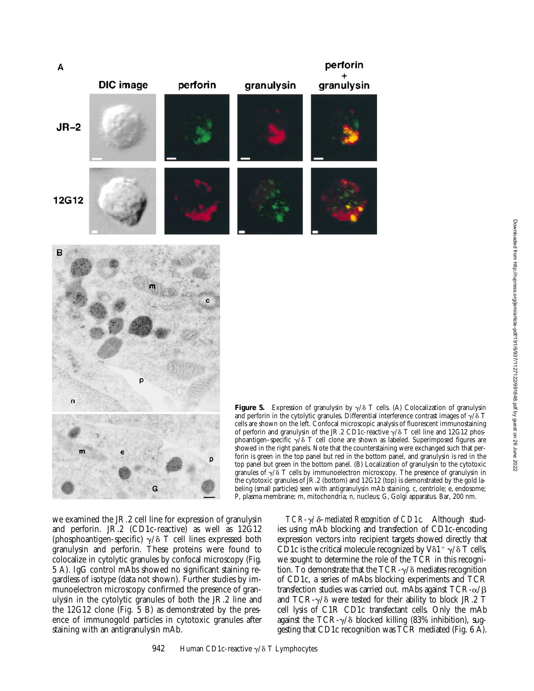



**Figure 5.** Expression of granulysin by  $\gamma/\delta$  T cells. (A) Colocalization of granulysin and perforin in the cytolytic granules. Differential interference contrast images of  $\gamma/\delta$  T cells are shown on the left. Confocal microscopic analysis of fluorescent immunostaining of perforin and granulysin of the JR.2 CD1c-reactive  $\gamma$ / $\delta$  T cell line and 12G12 phosphoantigen–specific  $\gamma/\delta$  T cell clone are shown as labeled. Superimposed figures are showed in the right panels. Note that the counterstaining were exchanged such that perforin is green in the top panel but red in the bottom panel, and granulysin is red in the top panel but green in the bottom panel. (B) Localization of granulysin to the cytotoxic granules of  $\gamma/\delta$  T cells by immunoelectron microscopy. The presence of granulysin in the cytotoxic granules of JR.2 (bottom) and 12G12 (top) is demonstrated by the gold labeling (small particles) seen with antigranulysin mAb staining. c, centriole; e, endosome; P, plasma membrane; m, mitochondria; n, nucleus; G, Golgi apparatus. Bar, 200 nm.

perforin

granulysin

we examined the JR.2 cell line for expression of granulysin and perforin. JR.2 (CD1c-reactive) as well as 12G12 (phosphoantigen-specific)  $\gamma/\delta$  T cell lines expressed both granulysin and perforin. These proteins were found to colocalize in cytolytic granules by confocal microscopy (Fig. 5 A). IgG control mAbs showed no significant staining regardless of isotype (data not shown). Further studies by immunoelectron microscopy confirmed the presence of granulysin in the cytolytic granules of both the JR.2 line and the 12G12 clone (Fig. 5 B) as demonstrated by the presence of immunogold particles in cytotoxic granules after staining with an antigranulysin mAb.

*TCR-*γ/δ–mediated Recognition of CD1c. Although studies using mAb blocking and transfection of CD1c-encoding expression vectors into recipient targets showed directly that CD1c is the critical molecule recognized by V $\delta$ 1<sup>+</sup>  $\gamma$ / $\delta$  T cells, we sought to determine the role of the TCR in this recognition. To demonstrate that the TCR- $\gamma$ / $\delta$  mediates recognition of CD1c, a series of mAbs blocking experiments and TCR transfection studies was carried out. mAbs against  $TCR-\alpha/\beta$ and TCR- $\gamma$ / $\delta$  were tested for their ability to block JR.2 T cell lysis of C1R CD1c transfectant cells. Only the mAb against the TCR- $\gamma$ / $\delta$  blocked killing (83% inhibition), suggesting that CD1c recognition was TCR mediated (Fig. 6 A).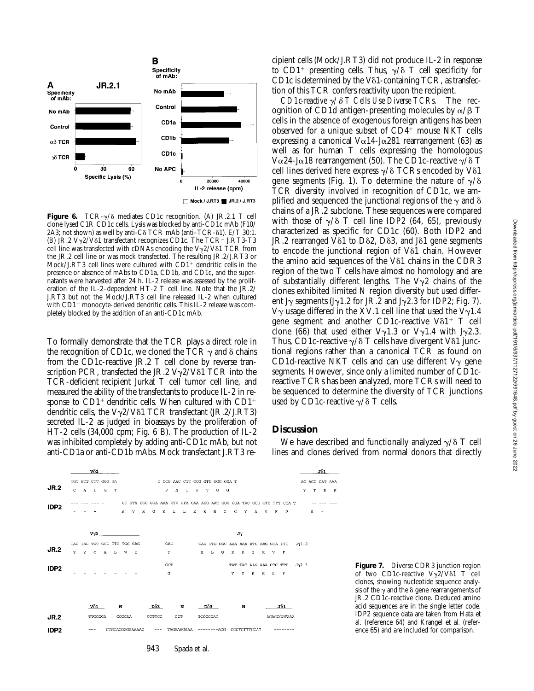

**Figure 6.** TCR- $\gamma$ / $\delta$  mediates CD1c recognition. (A) JR.2.1 T cell clone lysed C1R CD1c cells. Lysis was blocked by anti-CD1c mAb (F10/  $2A3$ ; not shown) as well by anti-C $\delta$  TCR mAb (anti-TCR- $\delta$ 1). E/T 30:1. (B) JR.2 V $\gamma$ 2/V $\delta$ 1 transfectant recognizes CD1c. The TCR<sup>-</sup> J.RT3-T3 cell line was transfected with cDNAs encoding the V $\gamma$ 2/V $\delta$ 1 TCR from the JR.2 cell line or was mock transfected. The resulting JR.2/J.RT3 or Mock/J.RT3 cell lines were cultured with  $CD1<sup>+</sup>$  dendritic cells in the presence or absence of mAbs to CD1a, CD1b, and CD1c, and the supernatants were harvested after 24 h. IL-2 release was assessed by the proliferation of the IL-2–dependent HT-2 T cell line. Note that the JR.2/ J.RT3 but not the Mock/J.RT3 cell line released IL-2 when cultured with CD1<sup>+</sup> monocyte-derived dendritic cells. This IL-2 release was completely blocked by the addition of an anti-CD1c mAb.

To formally demonstrate that the TCR plays a direct role in the recognition of CD1c, we cloned the TCR  $\gamma$  and  $\delta$  chains from the CD1c-reactive JR.2 T cell clone by reverse transcription PCR, transfected the JR.2  $V\gamma$ 2/V $\delta$ 1 TCR into the TCR-deficient recipient Jurkat T cell tumor cell line, and measured the ability of the transfectants to produce IL-2 in response to  $CD1^+$  dendritic cells. When cultured with  $CD1^+$ dendritic cells, the  $V\gamma$ 2/V $\delta$ 1 TCR transfectant (JR.2/J.RT3) secreted IL-2 as judged in bioassays by the proliferation of HT-2 cells (34,000 cpm; Fig. 6 B). The production of IL-2 was inhibited completely by adding anti-CD1c mAb, but not anti-CD1a or anti-CD1b mAbs. Mock transfectant J.RT3 recipient cells (Mock/J.RT3) did not produce IL-2 in response to CD1<sup>+</sup> presenting cells. Thus,  $\gamma/\delta$  T cell specificity for CD1c is determined by the V $\delta$ 1-containing TCR, as transfection of this TCR confers reactivity upon the recipient.

*CD1c-reactive* g*/*d *T Cells Use Diverse TCRs.* The recognition of CD1d antigen-presenting molecules by  $\alpha/\beta$  T cells in the absence of exogenous foreign antigens has been observed for a unique subset of  $CD4^+$  mouse NKT cells expressing a canonical V $\alpha$ 14-J $\alpha$ 281 rearrangement (63) as well as for human T cells expressing the homologous  $V\alpha$ 24-J $\alpha$ 18 rearrangement (50). The CD1c-reactive  $\gamma/\delta$  T cell lines derived here express  $\gamma/\delta$  TCRs encoded by V $\delta$ 1 gene segments (Fig. 1). To determine the nature of  $\gamma/\delta$ TCR diversity involved in recognition of CD1c, we amplified and sequenced the junctional regions of the  $\gamma$  and  $\delta$ chains of a JR.2 subclone. These sequences were compared with those of  $\gamma/\delta$  T cell line IDP2 (64, 65), previously characterized as specific for CD1c (60). Both IDP2 and  $JR.2$  rearranged V $\delta$ 1 to D $\delta$ 2, D $\delta$ 3, and J $\delta$ 1 gene segments to encode the junctional region of  $V\delta1$  chain. However the amino acid sequences of the V $\delta$ 1 chains in the CDR3 region of the two T cells have almost no homology and are of substantially different lengths. The  $V\gamma2$  chains of the clones exhibited limited N region diversity but used different J<sub>Y</sub> segments (J<sub>Y</sub>1.2 for JR.2 and J<sub>Y</sub>2.3 for IDP2; Fig. 7).  $V\gamma$  usage differed in the XV.1 cell line that used the  $V\gamma$ 1.4 gene segment and another CD1c-reactive V $\delta$ 1<sup>+</sup> T cell clone (66) that used either  $V\gamma1.3$  or  $V\gamma1.4$  with J $\gamma2.3$ . Thus, CD1c-reactive  $\gamma/\delta$  T cells have divergent V $\delta$ 1 junctional regions rather than a canonical TCR as found on CD1d-reactive NKT cells and can use different  $V_{\gamma}$  gene segments. However, since only a limited number of CD1creactive TCRs has been analyzed, more TCRs will need to be sequenced to determine the diversity of TCR junctions used by CD1c-reactive  $\gamma/\delta$  T cells.

## **Discussion**

We have described and functionally analyzed  $\gamma/\delta$  T cell lines and clones derived from normal donors that directly

|                  | vô1                 |              |             |                                  |                 |              |         |              |               |                                                                                       |   |            |          |                         |   |             |   |                                          |   |     |             |              |  |               |   | $J\delta 1$ |                                |
|------------------|---------------------|--------------|-------------|----------------------------------|-----------------|--------------|---------|--------------|---------------|---------------------------------------------------------------------------------------|---|------------|----------|-------------------------|---|-------------|---|------------------------------------------|---|-----|-------------|--------------|--|---------------|---|-------------|--------------------------------|
| <b>JR.2</b>      | Ċ.                  | $\mathbf{A}$ | $\mathbb L$ | TGT GCT CTT GGG GA<br>G          | $\mathbf T$     |              |         |              |               | C CCG AAC CTT CCG GTT GGG GGA T<br>$\, {\bf p}$                                       | N | Ŀ          | P        | V                       | G | G           |   |                                          |   |     |             |              |  | Y             | т | D           | AC ACC GAT AAA<br>$\mathbf{K}$ |
| IDP <sub>2</sub> |                     |              |             |                                  |                 | $\mathbf{A}$ | v       | $\mathbb{R}$ | G             | CT GTA CGG GGA AAA CTC CTA GAA AGG AAT GGG GGA TAC GCG GTC TTT CCA T<br>$\mathbbm{K}$ | L | L          | Е        | $\mathbb{R}$            | N | G           | G | Y                                        | Α | v   | F           | P            |  |               | s |             |                                |
|                  |                     |              |             |                                  |                 |              |         |              |               |                                                                                       |   |            |          | $\mathbf{J} \mathbf{V}$ |   |             |   |                                          |   |     |             |              |  |               |   |             |                                |
| <b>JR.2</b>      | Y                   | Y            | $\mathbf C$ | TAC TAC TGT GCC TTG TGG GAG<br>A | L               | W            | $\bf E$ |              |               | GAC<br>D                                                                              |   |            |          | $\mathbf E$             | L | G           | к | CAG TTG GGC AAA AAA ATC AAG GTA TTT<br>К | I | к   | v           | $\mathbf{F}$ |  | JVI.2         |   |             |                                |
| IDP <sub>2</sub> |                     |              |             |                                  |                 |              |         |              |               | GGT<br>G                                                                              |   |            |          |                         |   |             | Y | TAT TAT AAG AAA CTC TTT<br>Y             | к | к   | L           | $\mathbb F$  |  | $J\gamma 2.3$ |   |             |                                |
|                  |                     |              |             |                                  |                 |              |         |              |               |                                                                                       |   |            |          |                         |   |             |   |                                          |   |     |             |              |  |               |   |             |                                |
|                  |                     | vδ1          |             |                                  | N               |              |         | Dδ2          |               |                                                                                       | N |            | Dδ3      |                         |   | N           |   |                                          |   | Jδ1 |             |              |  |               |   |             |                                |
| <b>JR.2</b>      |                     | TTGGGGA      |             |                                  | CCCGAA          |              |         |              | CCTTCC<br>GGT |                                                                                       |   |            | TGGGGGAT |                         |   |             |   |                                          |   |     | ACACCGATAAA |              |  |               |   |             |                                |
| IDP <sub>2</sub> |                     |              |             |                                  | CTGTACGGGGAAAAC |              |         |              | $- - -$       |                                                                                       |   | TAGAAAGGAA |          |                         |   | --------ACG |   | CGGTCTTTCCAT                             |   |     |             |              |  |               |   |             |                                |
|                  | 943<br>Spada et al. |              |             |                                  |                 |              |         |              |               |                                                                                       |   |            |          |                         |   |             |   |                                          |   |     |             |              |  |               |   |             |                                |

**Figure 7.** Diverse CDR3 junction region of two CD1c-reactive  $Vv2/V\delta1$  T cell clones, showing nucleotide sequence analysis of the  $\gamma$  and the  $\delta$  gene rearrangements of JR.2 CD1c-reactive clone. Deduced amino acid sequences are in the single letter code. IDP2 sequence data are taken from Hata et al. (reference 64) and Krangel et al. (reference 65) and are included for comparison.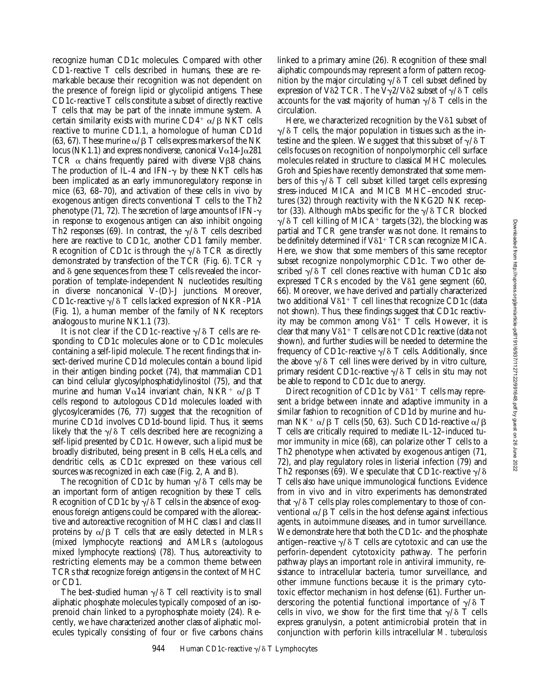recognize human CD1c molecules. Compared with other CD1-reactive T cells described in humans, these are remarkable because their recognition was not dependent on the presence of foreign lipid or glycolipid antigens. These CD1c-reactive T cells constitute a subset of directly reactive T cells that may be part of the innate immune system. A certain similarity exists with murine  $CD4^+$   $\alpha$ / $\beta$  NKT cells reactive to murine CD1.1, a homologue of human CD1d (63, 67). These murine  $\alpha/\beta$  T cells express markers of the NK locus (NK1.1) and express nondiverse, canonical  $V\alpha$ 14-J $\alpha$ 281 TCR  $\alpha$  chains frequently paired with diverse VB8 chains. The production of IL-4 and IFN- $\gamma$  by these NKT cells has been implicated as an early immunoregulatory response in mice (63, 68–70), and activation of these cells in vivo by exogenous antigen directs conventional T cells to the Th2 phenotype (71, 72). The secretion of large amounts of IFN- $\gamma$ in response to exogenous antigen can also inhibit ongoing Th2 responses (69). In contrast, the  $\gamma/\delta$  T cells described here are reactive to CD1c, another CD1 family member. Recognition of CD1c is through the  $\gamma/\delta$  TCR as directly demonstrated by transfection of the TCR (Fig. 6). TCR  $\gamma$ and  $\delta$  gene sequences from these T cells revealed the incorporation of template-independent N nucleotides resulting in diverse noncanonical V-(D)-J junctions. Moreover, CD1c-reactive  $\gamma/\delta$  T cells lacked expression of NKR-P1A (Fig. 1), a human member of the family of NK receptors analogous to murine NK1.1 (73).

It is not clear if the CD1c-reactive  $\gamma/\delta$  T cells are responding to CD1c molecules alone or to CD1c molecules containing a self-lipid molecule. The recent findings that insect-derived murine CD1d molecules contain a bound lipid in their antigen binding pocket (74), that mammalian CD1 can bind cellular glycosylphosphatidylinositol (75), and that murine and human V $\alpha$ 14 invariant chain, NKR<sup>+</sup>  $\alpha$ / $\beta$  T cells respond to autologous CD1d molecules loaded with glycosylceramides (76, 77) suggest that the recognition of murine CD1d involves CD1d-bound lipid. Thus, it seems likely that the  $\gamma/\delta$  T cells described here are recognizing a self-lipid presented by CD1c. However, such a lipid must be broadly distributed, being present in B cells, HeLa cells, and dendritic cells, as CD1c expressed on these various cell sources was recognized in each case (Fig. 2, A and B).

The recognition of CD1c by human  $\gamma/\delta$  T cells may be an important form of antigen recognition by these T cells. Recognition of CD1c by  $\gamma/\delta$  T cells in the absence of exogenous foreign antigens could be compared with the alloreactive and autoreactive recognition of MHC class I and class II proteins by  $\alpha/\beta$  T cells that are easily detected in MLRs (mixed lymphocyte reactions) and AMLRs (autologous mixed lymphocyte reactions) (78). Thus, autoreactivity to restricting elements may be a common theme between TCRs that recognize foreign antigens in the context of MHC or CD1.

The best-studied human  $\gamma/\delta$  T cell reactivity is to small aliphatic phosphate molecules typically composed of an isoprenoid chain linked to a pyrophosphate moiety (24). Recently, we have characterized another class of aliphatic molecules typically consisting of four or five carbons chains linked to a primary amine (26). Recognition of these small aliphatic compounds may represent a form of pattern recognition by the major circulating  $\gamma/\delta$  T cell subset defined by expression of V $\delta$ 2 TCR. The  $\bar{V}\gamma$ 2/V $\delta$ 2 subset of  $\gamma/\delta$  T cells accounts for the vast majority of human  $\gamma/\delta$  T cells in the circulation.

Here, we characterized recognition by the V $\delta$ 1 subset of  $\gamma/\delta$  T cells, the major population in tissues such as the intestine and the spleen. We suggest that this subset of  $\gamma/\delta$  T cells focuses on recognition of nonpolymorphic cell surface molecules related in structure to classical MHC molecules. Groh and Spies have recently demonstrated that some members of this  $\gamma/\delta$  T cell subset killed target cells expressing stress-induced MICA and MICB MHC–encoded structures (32) through reactivity with the NKG2D NK receptor (33). Although mAbs specific for the  $\gamma/\delta$  TCR blocked  $\gamma/\delta$  T cell killing of MICA<sup>+</sup> targets (32), the blocking was partial and TCR gene transfer was not done. It remains to be definitely determined if  $V\delta1+TCRs$  can recognize MICA. Here, we show that some members of this same receptor subset recognize nonpolymorphic CD1c. Two other described  $\gamma/\delta$  T cell clones reactive with human CD1c also expressed TCRs encoded by the V $\delta$ 1 gene segment (60, 66). Moreover, we have derived and partially characterized two additional  $V\delta1^+$  T cell lines that recognize CD1c (data not shown). Thus, these findings suggest that CD1c reactivity may be common among  $V\delta1^+$  T cells. However, it is clear that many  $V\delta1+T$  cells are not CD1c reactive (data not shown), and further studies will be needed to determine the frequency of CD1c-reactive  $\gamma/\delta$  T cells. Additionally, since the above  $\gamma/\delta$  T cell lines were derived by in vitro culture, primary resident CD1c-reactive  $\gamma/\delta$  T cells in situ may not be able to respond to CD1c due to anergy.

Direct recognition of CD1c by  $V\delta1+T$  cells may represent a bridge between innate and adaptive immunity in a similar fashion to recognition of CD1d by murine and human NK<sup>+</sup>  $\alpha$ / $\beta$  T cells (50, 63). Such CD1d-reactive  $\alpha$ / $\beta$ T cells are critically required to mediate IL-12–induced tumor immunity in mice (68), can polarize other T cells to a Th2 phenotype when activated by exogenous antigen (71, 72), and play regulatory roles in listerial infection (79) and Th2 responses (69). We speculate that CD1c-reactive  $\sqrt{\delta}$ T cells also have unique immunological functions. Evidence from in vivo and in vitro experiments has demonstrated that  $\gamma/\delta$  T cells play roles complementary to those of conventional  $\alpha/\beta$  T cells in the host defense against infectious agents, in autoimmune diseases, and in tumor surveillance. We demonstrate here that both the CD1c- and the phosphate antigen–reactive  $\gamma/\delta$  T cells are cytotoxic and can use the perforin-dependent cytotoxicity pathway. The perforin pathway plays an important role in antiviral immunity, resistance to intracellular bacteria, tumor surveillance, and other immune functions because it is the primary cytotoxic effector mechanism in host defense (61). Further underscoring the potential functional importance of  $\gamma/\delta$  T cells in vivo, we show for the first time that  $\gamma/\delta$  T cells express granulysin, a potent antimicrobial protein that in conjunction with perforin kills intracellular *M*. *tuberculosis*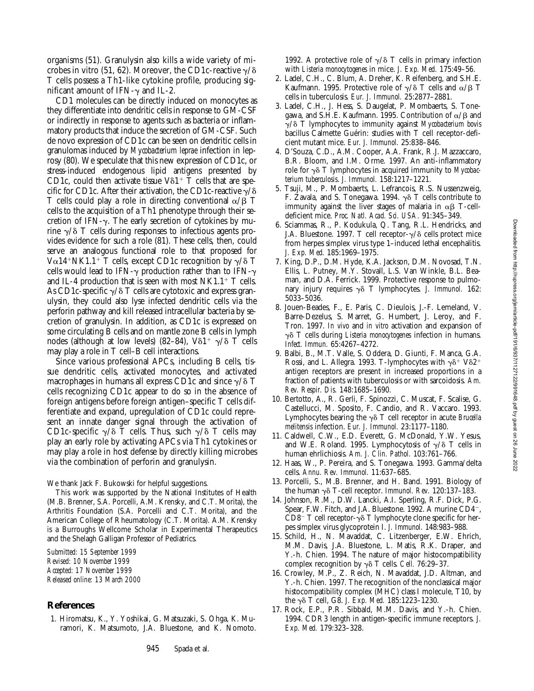organisms (51). Granulysin also kills a wide variety of microbes in vitro (51, 62). Moreover, the CD1c-reactive  $\gamma/\delta$ T cells possess a Th1-like cytokine profile, producing significant amount of IFN- $\gamma$  and IL-2.

CD1 molecules can be directly induced on monocytes as they differentiate into dendritic cells in response to GM-CSF or indirectly in response to agents such as bacteria or inflammatory products that induce the secretion of GM-CSF. Such de novo expression of CD1c can be seen on dendritic cells in granulomas induced by *Mycobacterium leprae* infection in leprosy (80). We speculate that this new expression of CD1c, or stress-induced endogenous lipid antigens presented by CD1c, could then activate tissue  $V\delta1$ <sup>+</sup> T cells that are specific for CD1c. After their activation, the CD1c-reactive  $\gamma/\delta$ T cells could play a role in directing conventional  $\alpha/\beta$  T cells to the acquisition of a Th1 phenotype through their secretion of IFN- $\gamma$ . The early secretion of cytokines by murine  $\gamma/\delta$  T cells during responses to infectious agents provides evidence for such a role (81). These cells, then, could serve an analogous functional role to that proposed for V $\alpha$ 14<sup>+</sup>NK1.1<sup>+</sup> T cells, except CD1c recognition by  $\gamma/\delta$  T cells would lead to IFN- $\gamma$  production rather than to IFN- $\gamma$ and IL-4 production that is seen with most  $NKL.1$ <sup>+</sup> T cells. As CD1c-specific  $\gamma/\delta$  T cells are cytotoxic and express granulysin, they could also lyse infected dendritic cells via the perforin pathway and kill released intracellular bacteria by secretion of granulysin. In addition, as CD1c is expressed on some circulating B cells and on mantle zone B cells in lymph nodes (although at low levels) (82–84),  $V\delta1^+$   $\gamma/\delta$  T cells may play a role in T cell–B cell interactions.

Since various professional APCs, including B cells, tissue dendritic cells, activated monocytes, and activated macrophages in humans all express CD1c and since  $\gamma/\delta$  T cells recognizing CD1c appear to do so in the absence of foreign antigens before foreign antigen–specific T cells differentiate and expand, upregulation of CD1c could represent an innate danger signal through the activation of CD1c-specific  $\gamma/\delta$  T cells. Thus, such  $\gamma/\delta$  T cells may play an early role by activating APCs via Th1 cytokines or may play a role in host defense by directly killing microbes via the combination of perforin and granulysin.

We thank Jack F. Bukowski for helpful suggestions.

This work was supported by the National Institutes of Health (M.B. Brenner, S.A. Porcelli, A.M. Krensky, and C.T. Morita), the Arthritis Foundation (S.A. Porcelli and C.T. Morita), and the American College of Rheumatology (C.T. Morita). A.M. Krensky is a Burroughs Wellcome Scholar in Experimental Therapeutics and the Shelagh Galligan Professor of Pediatrics.

*Submitted: 15 September 1999 Revised: 10 November 1999 Accepted: 17 November 1999 Released online: 13 March 2000*

#### **References**

1. Hiromatsu, K., Y. Yoshikai, G. Matsuzaki, S. Ohga, K. Muramori, K. Matsumoto, J.A. Bluestone, and K. Nomoto.

1992. A protective role of  $\gamma/\delta$  T cells in primary infection with *Listeria monocytogenes* in mice. *J. Exp. Med.* 175:49–56.

- 2. Ladel, C.H., C. Blum, A. Dreher, K. Reifenberg, and S.H.E. Kaufmann. 1995. Protective role of  $\gamma/\delta$  T cells and  $\alpha/\beta$  T cells in tuberculosis. *Eur. J. Immunol.* 25:2877–2881.
- 3. Ladel, C.H., J. Hess, S. Daugelat, P. Mombaerts, S. Tonegawa, and S.H.E. Kaufmann. 1995. Contribution of  $\alpha/\beta$  and g/d T lymphocytes to immunity against *Mycobacterium bovis* bacillus Calmette Guérin: studies with T cell receptor-deficient mutant mice. *Eur. J. Immunol.* 25:838–846.
- 4. D'Souza, C.D., A.M. Cooper, A.A. Frank, R.J. Mazzaccaro, B.R. Bloom, and I.M. Orme. 1997. An anti-inflammatory role for  $\gamma\delta$  T lymphocytes in acquired immunity to *Mycobacterium tuberculosis*. *J. Immunol.* 158:1217–1221.
- 5. Tsuji, M., P. Mombaerts, L. Lefrancois, R.S. Nussenzweig, F. Zavala, and S. Tonegawa. 1994.  $\gamma \delta$  T cells contribute to immunity against the liver stages of malaria in  $\alpha\beta$  T-celldeficient mice. *Proc. Natl. Acad. Sci. USA.* 91:345–349.
- 6. Sciammas, R., P. Kodukula, Q. Tang, R.L. Hendricks, and J.A. Bluestone. 1997. T cell receptor- $\gamma/\delta$  cells protect mice from herpes simplex virus type 1–induced lethal encephalitis. *J. Exp. Med.* 185:1969–1975.
- 7. King, D.P., D.M. Hyde, K.A. Jackson, D.M. Novosad, T.N. Ellis, L. Putney, M.Y. Stovall, L.S. Van Winkle, B.L. Beaman, and D.A. Ferrick. 1999. Protective response to pulmonary injury requires  $\gamma \delta$  T lymphocytes. *J. Immunol.* 162: 5033–5036.
- 8. Jouen-Beades, F., E. Paris, C. Dieulois, J.-F. Lemeland, V. Barre-Dezelus, S. Marret, G. Humbert, J. Leroy, and F. Tron. 1997. *In vivo* and *in vitro* activation and expansion of γδ T cells during *Listeria monocytogenes* infection in humans. *Infect. Immun.* 65:4267–4272.
- 9. Balbi, B., M.T. Valle, S. Oddera, D. Giunti, F. Manca, G.A. Rossi, and L. Allegra. 1993. T-lymphocytes with  $\gamma\delta^+$  V $\delta2^+$ antigen receptors are present in increased proportions in a fraction of patients with tuberculosis or with sarcoidosis. *Am. Rev. Respir. Dis.* 148:1685–1690.
- 10. Bertotto, A., R. Gerli, F. Spinozzi, C. Muscat, F. Scalise, G. Castellucci, M. Sposito, F. Candio, and R. Vaccaro. 1993. Lymphocytes bearing the  $\gamma\delta$  T cell receptor in acute *Brucella melitensis* infection. *Eur. J. Immunol.* 23:1177–1180.
- 11. Caldwell, C.W., E.D. Everett, G. McDonald, Y.W. Yesus, and W.E. Roland. 1995. Lymphocytosis of  $\gamma/\delta$  T cells in human ehrlichiosis. *Am. J. Clin. Pathol.* 103:761–766.
- 12. Haas, W., P. Pereira, and S. Tonegawa. 1993. Gamma/delta cells. *Annu. Rev. Immunol.* 11:637–685.
- 13. Porcelli, S., M.B. Brenner, and H. Band. 1991. Biology of the human γδ T-cell receptor. *Immunol. Rev.* 120:137–183.
- 14. Johnson, R.M., D.W. Lancki, A.I. Sperling, R.F. Dick, P.G. Spear, F.W. Fitch, and J.A. Bluestone. 1992. A murine CD4<sup>-</sup>, CD8<sup>-</sup> T cell receptor- $\gamma\delta$  T lymphocyte clone specific for herpes simplex virus glycoprotein I. *J. Immunol.* 148:983–988.
- 15. Schild, H., N. Mavaddat, C. Litzenberger, E.W. Ehrich, M.M. Davis, J.A. Bluestone, L. Matis, R.K. Draper, and Y.-h. Chien. 1994. The nature of major histocompatibility complex recognition by  $\gamma\delta$  T cells. *Cell.* 76:29–37.
- 16. Crowley, M.P., Z. Reich, N. Mavaddat, J.D. Altman, and Y.-h. Chien. 1997. The recognition of the nonclassical major histocompatibility complex (MHC) class I molecule, T10, by the gd T cell, G8. *J. Exp. Med.* 185:1223–1230.
- 17. Rock, E.P., P.R. Sibbald, M.M. Davis, and Y.-h. Chien. 1994. CDR3 length in antigen-specific immune receptors. *J. Exp. Med.* 179:323–328.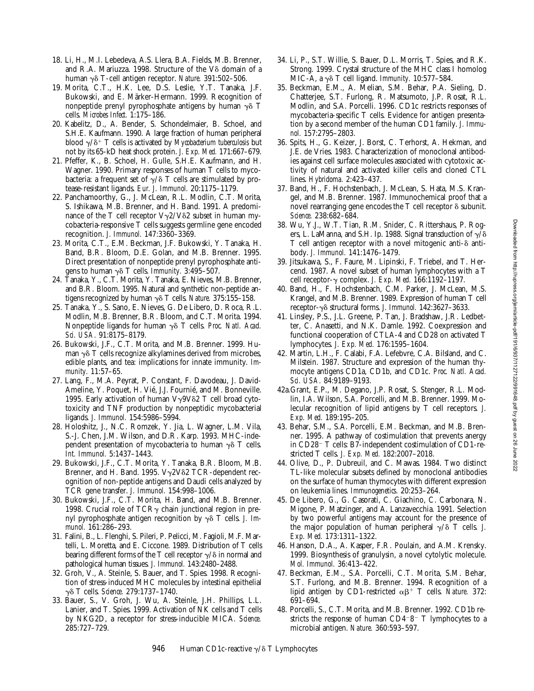- 18. Li, H., M.I. Lebedeva, A.S. Llera, B.A. Fields, M.B. Brenner, and R.A. Mariuzza. 1998. Structure of the  $V\delta$  domain of a human γδ T-cell antigen receptor. *Nature.* 391:502–506.
- 19. Morita, C.T., H.K. Lee, D.S. Leslie, Y.T. Tanaka, J.F. Bukowski, and E. Märker-Hermann. 1999. Recognition of nonpeptide prenyl pyrophosphate antigens by human  $\gamma\delta$  T cells. *Microbes Infect.* 1:175–186.
- 20. Kabelitz, D., A. Bender, S. Schondelmaier, B. Schoel, and S.H.E. Kaufmann. 1990. A large fraction of human peripheral blood  $\gamma/\delta^+$  T cells is activated by *Mycobacterium tuberculosis* but not by its 65-kD heat shock protein. *J. Exp. Med.* 171:667–679.
- 21. Pfeffer, K., B. Schoel, H. Gulle, S.H.E. Kaufmann, and H. Wagner. 1990. Primary responses of human T cells to mycobacteria: a frequent set of  $\gamma/\delta$  T cells are stimulated by protease-resistant ligands. *Eur. J. Immunol.* 20:1175–1179.
- 22. Panchamoorthy, G., J. McLean, R.L. Modlin, C.T. Morita, S. Ishikawa, M.B. Brenner, and H. Band. 1991. A predominance of the T cell receptor  $V\gamma2/V\delta2$  subset in human mycobacteria-responsive T cells suggests germline gene encoded recognition. *J. Immunol.* 147:3360–3369.
- 23. Morita, C.T., E.M. Beckman, J.F. Bukowski, Y. Tanaka, H. Band, B.R. Bloom, D.E. Golan, and M.B. Brenner. 1995. Direct presentation of nonpeptide prenyl pyrophosphate antigens to human  $\gamma \delta$  T cells. *Immunity.* 3:495–507.
- 24. Tanaka, Y., C.T. Morita, Y. Tanaka, E. Nieves, M.B. Brenner, and B.R. Bloom. 1995. Natural and synthetic non-peptide antigens recognized by human  $\gamma \delta$  T cells. *Nature*. 375:155–158.
- 25. Tanaka, Y., S. Sano, E. Nieves, G. De Libero, D. Roca, R.L. Modlin, M.B. Brenner, B.R. Bloom, and C.T. Morita. 1994. Nonpeptide ligands for human γδ T cells. Proc. Natl. Acad. *Sci. USA.* 91:8175–8179.
- 26. Bukowski, J.F., C.T. Morita, and M.B. Brenner. 1999. Human  $\gamma\delta$  T cells recognize alkylamines derived from microbes, edible plants, and tea: implications for innate immunity. *Immunity.* 11:57–65.
- 27. Lang, F., M.A. Peyrat, P. Constant, F. Davodeau, J. David-Ameline, Y. Poquet, H. Vié, J.J. Fournié, and M. Bonneville. 1995. Early activation of human  $V\gamma9V\delta2$  T cell broad cytotoxicity and TNF production by nonpeptidic mycobacterial ligands. *J. Immunol.* 154:5986–5994.
- 28. Holoshitz, J., N.C. Romzek, Y. Jia, L. Wagner, L.M. Vila, S.-J. Chen, J.M. Wilson, and D.R. Karp. 1993. MHC-independent presentation of mycobacteria to human  $\gamma\delta$  T cells. *Int. Immunol.* 5:1437–1443.
- 29. Bukowski, J.F., C.T. Morita, Y. Tanaka, B.R. Bloom, M.B. Brenner, and H. Band. 1995.  $V\gamma 2V\delta 2$  TCR-dependent recognition of non-peptide antigens and Daudi cells analyzed by TCR gene transfer. *J. Immunol.* 154:998–1006.
- 30. Bukowski, J.F., C.T. Morita, H. Band, and M.B. Brenner. 1998. Crucial role of TCR $\gamma$  chain junctional region in prenyl pyrophosphate antigen recognition by γδ T cells. *J. Immunol.* 161:286–293.
- 31. Falini, B., L. Flenghi, S. Pileri, P. Pelicci, M. Fagioli, M.F. Martelli, L. Moretta, and E. Ciccone. 1989. Distribution of T cells bearing different forms of the T cell receptor  $\gamma/\delta$  in normal and pathological human tissues. *J. Immunol.* 143:2480–2488.
- 32. Groh, V., A. Steinle, S. Bauer, and T. Spies. 1998. Recognition of stress-induced MHC molecules by intestinal epithelial gd T cells. *Science.* 279:1737–1740.
- 33. Bauer, S., V. Groh, J. Wu, A. Steinle, J.H. Phillips, L.L. Lanier, and T. Spies. 1999. Activation of NK cells and T cells by NKG2D, a receptor for stress-inducible MICA. *Science.* 285:727–729.
- 34. Li, P., S.T. Willie, S. Bauer, D.L. Morris, T. Spies, and R.K. Strong. 1999. Crystal structure of the MHC class I homolog MIC-A, a  $\gamma\delta$  T cell ligand. *Immunity.* 10:577-584.
- 35. Beckman, E.M., A. Melian, S.M. Behar, P.A. Sieling, D. Chatterjee, S.T. Furlong, R. Matsumoto, J.P. Rosat, R.L. Modlin, and S.A. Porcelli. 1996. CD1c restricts responses of mycobacteria-specific T cells. Evidence for antigen presentation by a second member of the human CD1 family. *J. Immunol.* 157:2795–2803.
- 36. Spits, H., G. Keizer, J. Borst, C. Terhorst, A. Hekman, and J.E. de Vries. 1983. Characterization of monoclonal antibodies against cell surface molecules associated with cytotoxic activity of natural and activated killer cells and cloned CTL lines. *Hybridoma.* 2:423–437.
- 37. Band, H., F. Hochstenbach, J. McLean, S. Hata, M.S. Krangel, and M.B. Brenner. 1987. Immunochemical proof that a novel rearranging gene encodes the  $T$  cell receptor  $\delta$  subunit. *Science.* 238:682–684.
- 38. Wu, Y.J., W.T. Tian, R.M. Snider, C. Rittershaus, P. Rogers, L. LaManna, and S.H. Ip. 1988. Signal transduction of  $\gamma/\delta$ T cell antigen receptor with a novel mitogenic anti- $\delta$  antibody. *J. Immunol.* 141:1476–1479.
- 39. Jitsukawa, S., F. Faure, M. Lipinski, F. Triebel, and T. Hercend. 1987. A novel subset of human lymphocytes with a T cell receptor-g complex. *J. Exp. Med.* 166:1192–1197.
- 40. Band, H., F. Hochstenbach, C.M. Parker, J. McLean, M.S. Krangel, and M.B. Brenner. 1989. Expression of human T cell receptor-gd structural forms. *J. Immunol.* 142:3627–3633.
- 41. Linsley, P.S., J.L. Greene, P. Tan, J. Bradshaw, J.R. Ledbetter, C. Anasetti, and N.K. Damle. 1992. Coexpression and functional cooperation of CTLA-4 and CD28 on activated T lymphocytes. *J. Exp. Med.* 176:1595–1604.
- 42. Martin, L.H., F. Calabi, F.A. Lefebvre, C.A. Bilsland, and C. Milstein. 1987. Structure and expression of the human thymocyte antigens CD1a, CD1b, and CD1c. *Proc. Natl. Acad. Sci. USA.* 84:9189–9193.
- 42a.Grant, E.P., M. Degano, J.P. Rosat, S. Stenger, R.L. Modlin, I.A. Wilson, S.A. Porcelli, and M.B. Brenner. 1999. Molecular recognition of lipid antigens by T cell receptors. *J. Exp. Med.* 189:195–205.
- 43. Behar, S.M., S.A. Porcelli, E.M. Beckman, and M.B. Brenner. 1995. A pathway of costimulation that prevents anergy in CD28<sup>-</sup> T cells: B7-independent costimulation of CD1-restricted T cells. *J. Exp. Med.* 182:2007–2018.
- 44. Olive, D., P. Dubreuil, and C. Mawas. 1984. Two distinct TL-like molecular subsets defined by monoclonal antibodies on the surface of human thymocytes with different expression on leukemia lines. *Immunogenetics.* 20:253–264.
- 45. De Libero, G., G. Casorati, C. Giachino, C. Carbonara, N. Migone, P. Matzinger, and A. Lanzavecchia. 1991. Selection by two powerful antigens may account for the presence of the major population of human peripheral  $\gamma/\delta$  T cells. *J. Exp. Med.* 173:1311–1322.
- 46. Hanson, D.A., A. Kasper, F.R. Poulain, and A.M. Krensky. 1999. Biosynthesis of granulysin, a novel cytolytic molecule. *Mol. Immunol.* 36:413–422.
- 47. Beckman, E.M., S.A. Porcelli, C.T. Morita, S.M. Behar, S.T. Furlong, and M.B. Brenner. 1994. Recognition of a lipid antigen by CD1-restricted  $\alpha \beta^+$  T cells. *Nature.* 372: 691–694.
- 48. Porcelli, S., C.T. Morita, and M.B. Brenner. 1992. CD1b restricts the response of human  $CD4-8-$  T lymphocytes to a microbial antigen. *Nature.* 360:593–597.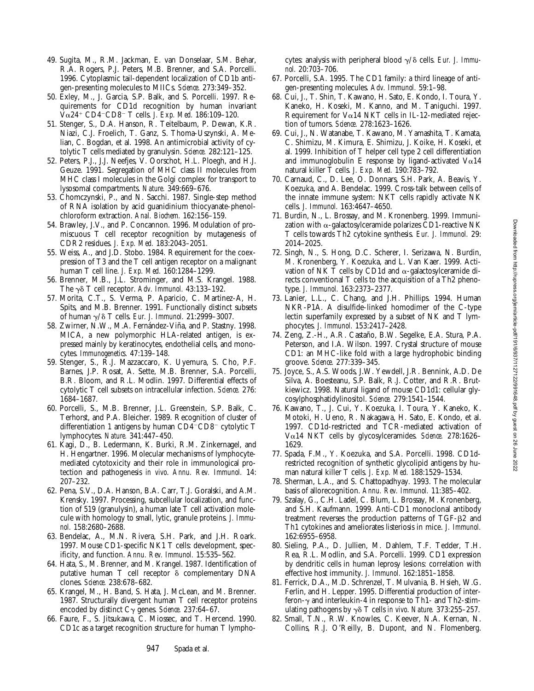- 49. Sugita, M., R.M. Jackman, E. van Donselaar, S.M. Behar, R.A. Rogers, P.J. Peters, M.B. Brenner, and S.A. Porcelli. 1996. Cytoplasmic tail-dependent localization of CD1b antigen-presenting molecules to MIICs. *Science.* 273:349–352.
- 50. Exley, M., J. Garcia, S.P. Balk, and S. Porcelli. 1997. Requirements for CD1d recognition by human invariant Va24<sup>1</sup> CD4<sup>2</sup>CD8<sup>2</sup> T cells. *J. Exp. Med.* 186:109–120.
- 51. Stenger, S., D.A. Hanson, R. Teitelbaum, P. Dewan, K.R. Niazi, C.J. Froelich, T. Ganz, S. Thoma-Uszynski, A. Melian, C. Bogdan, et al. 1998. An antimicrobial activity of cytolytic T cells mediated by granulysin. *Science.* 282:121–125.
- 52. Peters, P.J., J.J. Neefjes, V. Oorschot, H.L. Ploegh, and H.J. Geuze. 1991. Segregation of MHC class II molecules from MHC class I molecules in the Golgi complex for transport to lysosomal compartments. *Nature.* 349:669–676.
- 53. Chomczynski, P., and N. Sacchi. 1987. Single-step method of RNA isolation by acid guanidinium thiocyanate-phenolchloroform extraction. *Anal. Biochem.* 162:156–159.
- 54. Brawley, J.V., and P. Concannon. 1996. Modulation of promiscuous T cell receptor recognition by mutagenesis of CDR2 residues. *J. Exp. Med.* 183:2043–2051.
- 55. Weiss, A., and J.D. Stobo. 1984. Requirement for the coexpression of T3 and the T cell antigen receptor on a malignant human T cell line. *J. Exp. Med.* 160:1284–1299.
- 56. Brenner, M.B., J.L. Strominger, and M.S. Krangel. 1988. The  $\gamma\delta$  T cell receptor. Adv. Immunol. 43:133–192.
- 57. Morita, C.T., S. Verma, P. Aparicio, C. Martinez-A, H. Spits, and M.B. Brenner. 1991. Functionally distinct subsets of human g/d T cells. *Eur. J. Immunol.* 21:2999–3007.
- 58. Zwirner, N.W., M.A. Fernández-Viña, and P. Stastny. 1998. MICA, a new polymorphic HLA-related antigen, is expressed mainly by keratinocytes, endothelial cells, and monocytes. *Immunogenetics.* 47:139–148.
- 59. Stenger, S., R.J. Mazzaccaro, K. Uyemura, S. Cho, P.F. Barnes, J.P. Rosat, A. Sette, M.B. Brenner, S.A. Porcelli, B.R. Bloom, and R.L. Modlin. 1997. Differential effects of cytolytic T cell subsets on intracellular infection. *Science.* 276: 1684–1687.
- 60. Porcelli, S., M.B. Brenner, J.L. Greenstein, S.P. Balk, C. Terhorst, and P.A. Bleicher. 1989. Recognition of cluster of differentiation 1 antigens by human  $CD4$ <sup>-</sup> $CD8$ <sup>-</sup> cytolytic T lymphocytes. *Nature.* 341:447–450.
- 61. Kagi, D., B. Ledermann, K. Burki, R.M. Zinkernagel, and H. Hengartner. 1996. Molecular mechanisms of lymphocytemediated cytotoxicity and their role in immunological protection and pathogenesis *in vivo*. *Annu. Rev. Immunol.* 14: 207–232.
- 62. Pena, S.V., D.A. Hanson, B.A. Carr, T.J. Goralski, and A.M. Krensky. 1997. Processing, subcellular localization, and function of 519 (granulysin), a human late T cell activation molecule with homology to small, lytic, granule proteins. *J. Immunol.* 158:2680–2688.
- 63. Bendelac, A., M.N. Rivera, S.H. Park, and J.H. Roark. 1997. Mouse CD1-specific NK1 T cells: development, specificity, and function. *Annu. Rev. Immunol.* 15:535–562.
- 64. Hata, S., M. Brenner, and M. Krangel. 1987. Identification of putative human  $T$  cell receptor  $\delta$  complementary DNA clones. *Science.* 238:678–682.
- 65. Krangel, M., H. Band, S. Hata, J. McLean, and M. Brenner. 1987. Structurally divergent human T cell receptor proteins encoded by distinct Cg genes. *Science.* 237:64–67.
- 66. Faure, F., S. Jitsukawa, C. Miossec, and T. Hercend. 1990. CD1c as a target recognition structure for human T lympho-

cytes: analysis with peripheral blood  $\gamma/\delta$  cells. *Eur. J. Immunol.* 20:703–706.

- 67. Porcelli, S.A. 1995. The CD1 family: a third lineage of antigen-presenting molecules. *Adv. Immunol.* 59:1–98.
- 68. Cui, J., T. Shin, T. Kawano, H. Sato, E. Kondo, I. Toura, Y. Kaneko, H. Koseki, M. Kanno, and M. Taniguchi. 1997. Requirement for V $\alpha$ 14 NKT cells in IL-12-mediated rejection of tumors. *Science.* 278:1623–1626.
- 69. Cui, J., N. Watanabe, T. Kawano, M. Yamashita, T. Kamata, C. Shimizu, M. Kimura, E. Shimizu, J. Koike, H. Koseki, et al. 1999. Inhibition of T helper cell type 2 cell differentiation and immunoglobulin E response by ligand-activated  $V\alpha$ 14 natural killer T cells. *J. Exp. Med.* 190:783–792.
- 70. Carnaud, C., D. Lee, O. Donnars, S.H. Park, A. Beavis, Y. Koezuka, and A. Bendelac. 1999. Cross-talk between cells of the innate immune system: NKT cells rapidly activate NK cells. *J. Immunol.* 163:4647–4650.
- 71. Burdin, N., L. Brossay, and M. Kronenberg. 1999. Immunization with  $\alpha$ -galactosylceramide polarizes CD1-reactive NK T cells towards Th2 cytokine synthesis. *Eur. J. Immunol.* 29: 2014–2025.
- 72. Singh, N., S. Hong, D.C. Scherer, I. Serizawa, N. Burdin, M. Kronenberg, Y. Koezuka, and L. Van Kaer. 1999. Activation of NK T cells by CD1d and  $\alpha$ -galactosylceramide directs conventional T cells to the acquisition of a Th2 phenotype. *J. Immunol.* 163:2373–2377.
- 73. Lanier, L.L., C. Chang, and J.H. Phillips. 1994. Human NKR-P1A. A disulfide-linked homodimer of the C-type lectin superfamily expressed by a subset of NK and T lymphocytes. *J. Immunol.* 153:2417–2428.
- 74. Zeng, Z.-H., A.R. Castaño, B.W. Segelke, E.A. Stura, P.A. Peterson, and I.A. Wilson. 1997. Crystal structure of mouse CD1: an MHC-like fold with a large hydrophobic binding groove. *Science.* 277:339–345.
- 75. Joyce, S., A.S. Woods, J.W. Yewdell, J.R. Bennink, A.D. De Silva, A. Boesteanu, S.P. Balk, R.J. Cotter, and R.R. Brutkiewicz. 1998. Natural ligand of mouse CD1d1: cellular glycosylphosphatidylinositol. *Science.* 279:1541–1544.
- 76. Kawano, T., J. Cui, Y. Koezuka, I. Toura, Y. Kaneko, K. Motoki, H. Ueno, R. Nakagawa, H. Sato, E. Kondo, et al. 1997. CD1d-restricted and TCR-mediated activation of Va14 NKT cells by glycosylceramides. *Science.* 278:1626– 1629.
- 77. Spada, F.M., Y. Koezuka, and S.A. Porcelli. 1998. CD1drestricted recognition of synthetic glycolipid antigens by human natural killer T cells. *J. Exp. Med.* 188:1529–1534.
- 78. Sherman, L.A., and S. Chattopadhyay. 1993. The molecular basis of allorecognition. *Annu. Rev. Immunol.* 11:385–402.
- 79. Szalay, G., C.H. Ladel, C. Blum, L. Brossay, M. Kronenberg, and S.H. Kaufmann. 1999. Anti-CD1 monoclonal antibody treatment reverses the production patterns of  $TGF- $\beta$ 2 and$ Th1 cytokines and ameliorates listeriosis in mice. *J. Immunol.* 162:6955–6958.
- 80. Sieling, P.A., D. Jullien, M. Dahlem, T.F. Tedder, T.H. Rea, R.L. Modlin, and S.A. Porcelli. 1999. CD1 expression by dendritic cells in human leprosy lesions: correlation with effective host immunity. *J. Immunol.* 162:1851–1858.
- 81. Ferrick, D.A., M.D. Schrenzel, T. Mulvania, B. Hsieh, W.G. Ferlin, and H. Lepper. 1995. Differential production of interferon- $\gamma$  and interleukin-4 in response to Th1- and Th2-stimulating pathogens by  $\gamma \delta$  T cells *in vivo*. *Nature.* 373:255–257.
- 82. Small, T.N., R.W. Knowles, C. Keever, N.A. Kernan, N. Collins, R.J. O'Reilly, B. Dupont, and N. Flomenberg.